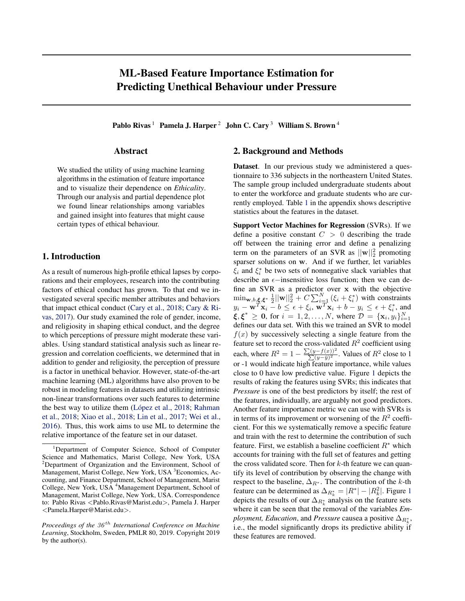# ML-Based Feature Importance Estimation for Predicting Unethical Behaviour under Pressure

Pablo Rivas<sup>1</sup> Pamela J. Harper<sup>2</sup> John C. Cary<sup>3</sup> William S. Brown<sup>4</sup>

#### Abstract

We studied the utility of using machine learning algorithms in the estimation of feature importance and to visualize their dependence on *Ethicality*. Through our analysis and partial dependence plot we found linear relationships among variables and gained insight into features that might cause certain types of ethical behaviour.

## 1. Introduction

As a result of numerous high-profile ethical lapses by corporations and their employees, research into the contributing factors of ethical conduct has grown. To that end we investigated several specific member attributes and behaviors that impact ethical conduct [\(Cary et al.,](#page-2-0) [2018;](#page-2-0) [Cary & Ri](#page-2-0)[vas,](#page-2-0) [2017\)](#page-2-0). Our study examined the role of gender, income, and religiosity in shaping ethical conduct, and the degree to which perceptions of pressure might moderate these variables. Using standard statistical analysis such as linear regression and correlation coefficients, we determined that in addition to gender and religiosity, the perception of pressure is a factor in unethical behavior. However, state-of-the-art machine learning (ML) algorithms have also proven to be robust in modeling features in datasets and utilizing intrinsic non-linear transformations over such features to determine the best way to utilize them (López et al., [2018;](#page-2-0) [Rahman](#page-2-0) [et al.,](#page-2-0) [2018;](#page-2-0) [Xiao et al.,](#page-2-0) [2018;](#page-2-0) [Lin et al.,](#page-2-0) [2017;](#page-2-0) [Wei et al.,](#page-2-0) [2016\)](#page-2-0). Thus, this work aims to use ML to determine the relative importance of the feature set in our dataset.

### 2. Background and Methods

Dataset. In our previous study we administered a questionnaire to 336 subjects in the northeastern United States. The sample group included undergraduate students about to enter the workforce and graduate students who are currently employed. Table [1](#page-2-0) in the appendix shows descriptive statistics about the features in the dataset.

Support Vector Machines for Regression (SVRs). If we define a positive constant  $C > 0$  describing the trade off between the training error and define a penalizing term on the parameters of an SVR as  $||\mathbf{w}||_2^2$  promoting sparser solutions on w. And if we further, let variables  $\xi_i$  and  $\xi_i^*$  be two sets of nonnegative slack variables that describe an  $\epsilon$ -insensitive loss function; then we can define an SVR as a predictor over x with the objective  $\min_{\mathbf{w},b,\xi,\xi^*} \frac{1}{2} ||\mathbf{w}||_2^2 + C \sum_{i=1}^N (\xi_i + \xi_i^*)$  with constraints  $y_i - \mathbf{w}^T \mathbf{x}_i - b \le \epsilon + \xi_i, \mathbf{w}^T \mathbf{x}_i + b - y_i \le \epsilon + \xi_i^*$ , and  $\xi, \xi^* \geq 0$ , for  $i = 1, 2, ..., N$ , where  $\mathcal{D} = {\mathbf{x}_i, y_i}_{i=1}^N$ defines our data set. With this we trained an SVR to model  $f(x)$  by successively selecting a single feature from the feature set to record the cross-validated  $R^2$  coefficient using each, where  $R^2 = 1 - \frac{\sum (y - f(x))^2}{\sum (y - \bar{x})^2}$  $\frac{\sum(y-f(x))^{2}}{\sum(y-\bar{y})^{2}}$ . Values of  $R^{2}$  close to 1 or -1 would indicate high feature importance, while values close to 0 have low predictive value. Figure [1](#page-1-0) depicts the results of raking the features using SVRs; this indicates that *Pressure* is one of the best predictors by itself; the rest of the features, individually, are arguably not good predictors. Another feature importance metric we can use with SVRs is in terms of its improvement or worsening of the  $R^2$  coefficient. For this we systematically remove a specific feature and train with the rest to determine the contribution of such feature. First, we establish a baseline coefficient  $R^*$  which accounts for training with the full set of features and getting the cross validated score. Then for  $k$ -th feature we can quantify its level of contribution by observing the change with respect to the baseline,  $\Delta_{R^*}$ . The contribution of the k-th feature can be determined as  $\Delta_{R_k^*} = |R^*| - |R_k^2|$ . Figure [1](#page-1-0) depicts the results of our  $\Delta_{R^*_k}$  analysis on the feature sets where it can be seen that the removal of the variables *Employment, Education, and Pressure causea a positive*  $\Delta_{R_k^*},$ i.e., the model significantly drops its predictive ability if these features are removed.

<sup>&</sup>lt;sup>1</sup>Department of Computer Science, School of Computer Science and Mathematics, Marist College, New York, USA <sup>2</sup>Department of Organization and the Environment, School of Management, Marist College, New York, USA <sup>3</sup>Economics, Accounting, and Finance Department, School of Management, Marist College, New York, USA <sup>4</sup>Management Department, School of Management, Marist College, New York, USA. Correspondence to: Pablo Rivas <Pablo.Rivas@Marist.edu>, Pamela J. Harper <Pamela.Harper@Marist.edu>.

*Proceedings of the 36<sup>th</sup> International Conference on Machine Learning*, Stockholm, Sweden, PMLR 80, 2019. Copyright 2019 by the author(s).